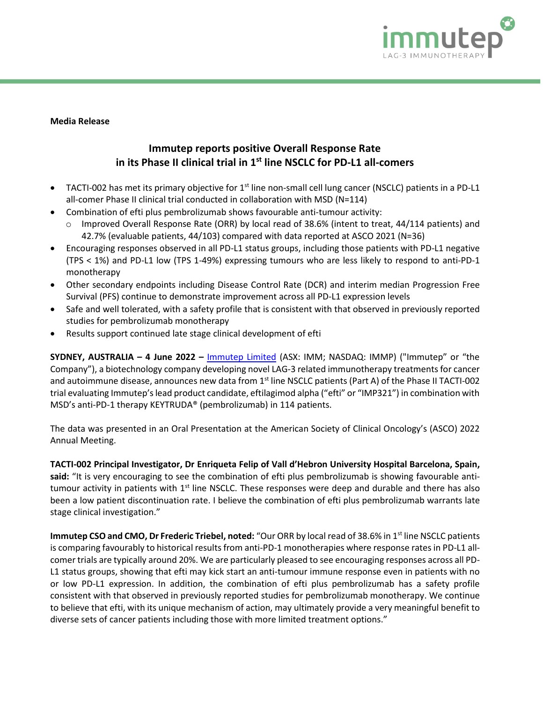

**Media Release**

# **Immutep reports positive Overall Response Rate in its Phase II clinical trial in 1st line NSCLC for PD-L1 all-comers**

- TACTI-002 has met its primary objective for 1<sup>st</sup> line non-small cell lung cancer (NSCLC) patients in a PD-L1 all-comer Phase II clinical trial conducted in collaboration with MSD (N=114)
- Combination of efti plus pembrolizumab shows favourable anti-tumour activity:
	- Improved Overall Response Rate (ORR) by local read of 38.6% (intent to treat, 44/114 patients) and 42.7% (evaluable patients, 44/103) compared with data reported at ASCO 2021 (N=36)
- Encouraging responses observed in all PD-L1 status groups, including those patients with PD-L1 negative (TPS < 1%) and PD-L1 low (TPS 1-49%) expressing tumours who are less likely to respond to anti-PD-1 monotherapy
- Other secondary endpoints including Disease Control Rate (DCR) and interim median Progression Free Survival (PFS) continue to demonstrate improvement across all PD-L1 expression levels
- Safe and well tolerated, with a safety profile that is consistent with that observed in previously reported studies for pembrolizumab monotherapy
- Results support continued late stage clinical development of efti

**SYDNEY, AUSTRALIA – 4 June 2022 –** [Immutep Limited](http://www.immutep.com/) (ASX: IMM; NASDAQ: IMMP) ("Immutep" or "the Company"), a biotechnology company developing novel LAG-3 related immunotherapy treatments for cancer and autoimmune disease, announces new data from 1<sup>st</sup> line NSCLC patients (Part A) of the Phase II TACTI-002 trial evaluating Immutep's lead product candidate, eftilagimod alpha ("efti" or "IMP321") in combination with MSD's anti-PD-1 therapy KEYTRUDA® (pembrolizumab) in 114 patients.

The data was presented in an Oral Presentation at the American Society of Clinical Oncology's (ASCO) 2022 Annual Meeting.

**TACTI-002 Principal Investigator, Dr Enriqueta Felip of Vall d'Hebron University Hospital Barcelona, Spain, said:** "It is very encouraging to see the combination of efti plus pembrolizumab is showing favourable antitumour activity in patients with  $1<sup>st</sup>$  line NSCLC. These responses were deep and durable and there has also been a low patient discontinuation rate. I believe the combination of efti plus pembrolizumab warrants late stage clinical investigation."

**Immutep CSO and CMO, Dr Frederic Triebel, noted:** "Our ORR by local read of 38.6% in 1<sup>st</sup> line NSCLC patients is comparing favourably to historical results from anti-PD-1 monotherapies where response rates in PD-L1 allcomer trials are typically around 20%. We are particularly pleased to see encouraging responses across all PD-L1 status groups, showing that efti may kick start an anti-tumour immune response even in patients with no or low PD-L1 expression. In addition, the combination of efti plus pembrolizumab has a safety profile consistent with that observed in previously reported studies for pembrolizumab monotherapy. We continue to believe that efti, with its unique mechanism of action, may ultimately provide a very meaningful benefit to diverse sets of cancer patients including those with more limited treatment options."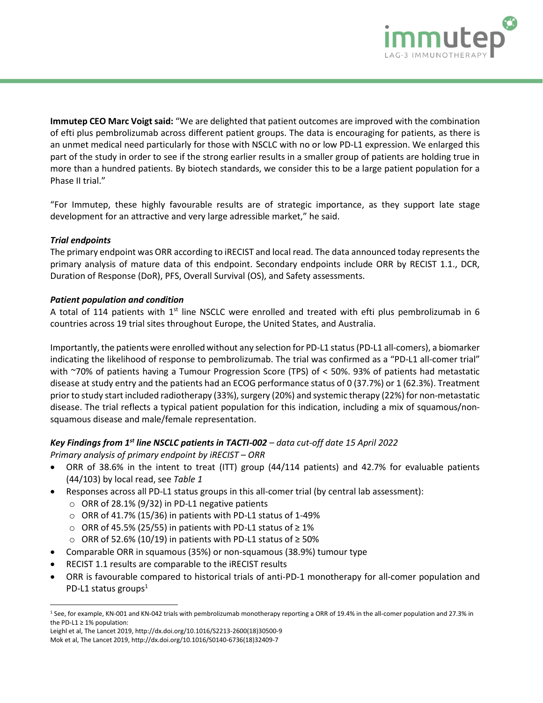

**Immutep CEO Marc Voigt said:** "We are delighted that patient outcomes are improved with the combination of efti plus pembrolizumab across different patient groups. The data is encouraging for patients, as there is an unmet medical need particularly for those with NSCLC with no or low PD-L1 expression. We enlarged this part of the study in order to see if the strong earlier results in a smaller group of patients are holding true in more than a hundred patients. By biotech standards, we consider this to be a large patient population for a Phase II trial."

"For Immutep, these highly favourable results are of strategic importance, as they support late stage development for an attractive and very large adressible market," he said.

# *Trial endpoints*

The primary endpoint was ORR according to iRECIST and local read. The data announced today represents the primary analysis of mature data of this endpoint. Secondary endpoints include ORR by RECIST 1.1., DCR, Duration of Response (DoR), PFS, Overall Survival (OS), and Safety assessments.

# *Patient population and condition*

A total of 114 patients with  $1<sup>st</sup>$  line NSCLC were enrolled and treated with efti plus pembrolizumab in 6 countries across 19 trial sites throughout Europe, the United States, and Australia.

Importantly, the patients were enrolled without any selection for PD-L1 status(PD-L1 all-comers), a biomarker indicating the likelihood of response to pembrolizumab. The trial was confirmed as a "PD-L1 all-comer trial" with ~70% of patients having a Tumour Progression Score (TPS) of < 50%. 93% of patients had metastatic disease at study entry and the patients had an ECOG performance status of 0 (37.7%) or 1 (62.3%). Treatment prior to study start included radiotherapy (33%), surgery (20%) and systemic therapy (22%) for non-metastatic disease. The trial reflects a typical patient population for this indication, including a mix of squamous/nonsquamous disease and male/female representation.

# *Key Findings from 1st line NSCLC patients in TACTI-002 – data cut-off date 15 April 2022*

*Primary analysis of primary endpoint by iRECIST – ORR*

- ORR of 38.6% in the intent to treat (ITT) group (44/114 patients) and 42.7% for evaluable patients (44/103) by local read, see *Table 1*
- Responses across all PD-L1 status groups in this all-comer trial (by central lab assessment):
	- $\circ$  ORR of 28.1% (9/32) in PD-L1 negative patients
	- $\circ$  ORR of 41.7% (15/36) in patients with PD-L1 status of 1-49%
	- o ORR of 45.5% (25/55) in patients with PD-L1 status of ≥ 1%
	- o ORR of 52.6% (10/19) in patients with PD-L1 status of ≥ 50%
- Comparable ORR in squamous (35%) or non-squamous (38.9%) tumour type
- RECIST 1.1 results are comparable to the iRECIST results
- ORR is favourable compared to historical trials of anti-PD-1 monotherapy for all-comer population and PD-L1 status groups $<sup>1</sup>$ </sup>

Leighl et al, The Lancet 2019, http://dx.doi.org/10.1016/S2213-2600(18)30500-9

<sup>1</sup> See, for example, KN-001 and KN-042 trials with pembrolizumab monotherapy reporting a ORR of 19.4% in the all-comer population and 27.3% in the PD-L1  $\geq$  1% population:

Mok et al, The Lancet 2019, http://dx.doi.org/10.1016/S0140-6736(18)32409-7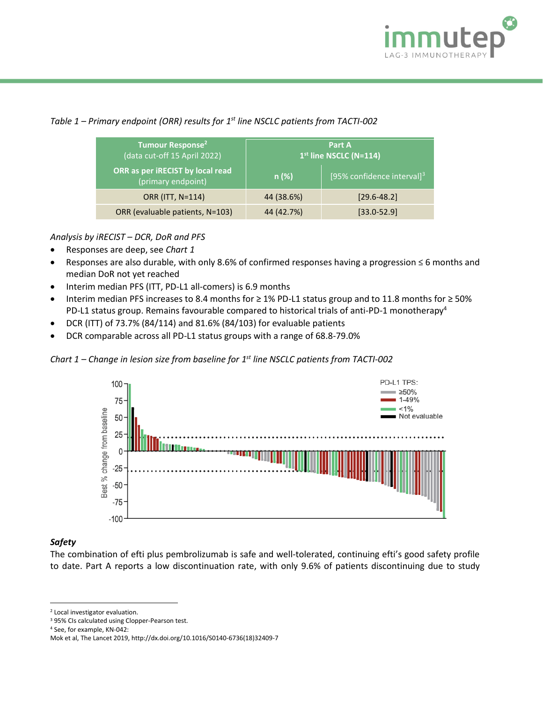

# *Table 1 – Primary endpoint (ORR) results for 1 st line NSCLC patients from TACTI-002*

| Tumour Response <sup>2</sup><br>(data cut-off 15 April 2022) | Part A<br>$1st$ line NSCLC (N=114) |                               |
|--------------------------------------------------------------|------------------------------------|-------------------------------|
| ORR as per iRECIST by local read<br>(primary endpoint)       | n(%)                               | [95% confidence interval] $3$ |
| ORR (ITT, N=114)                                             | 44 (38.6%)                         | $[29.6 - 48.2]$               |
| ORR (evaluable patients, N=103)                              | 44 (42.7%)                         | $[33.0 - 52.9]$               |

# *Analysis by iRECIST – DCR, DoR and PFS*

- Responses are deep, see *Chart 1*
- Responses are also durable, with only 8.6% of confirmed responses having a progression ≤ 6 months and median DoR not yet reached
- Interim median PFS (ITT, PD-L1 all-comers) is 6.9 months
- Interim median PFS increases to 8.4 months for ≥ 1% PD-L1 status group and to 11.8 months for ≥ 50% PD-L1 status group. Remains favourable compared to historical trials of anti-PD-1 monotherapy<sup>4</sup>
- DCR (ITT) of 73.7% (84/114) and 81.6% (84/103) for evaluable patients
- DCR comparable across all PD-L1 status groups with a range of 68.8-79.0%

*Chart 1 – Change in lesion size from baseline for 1 st line NSCLC patients from TACTI-002*



## *Safety*

The combination of efti plus pembrolizumab is safe and well-tolerated, continuing efti's good safety profile to date. Part A reports a low discontinuation rate, with only 9.6% of patients discontinuing due to study

<sup>2</sup> Local investigator evaluation.

<sup>3</sup> 95% CIs calculated using Clopper-Pearson test.

<sup>4</sup> See, for example, KN-042:

Mok et al, The Lancet 2019, http://dx.doi.org/10.1016/S0140-6736(18)32409-7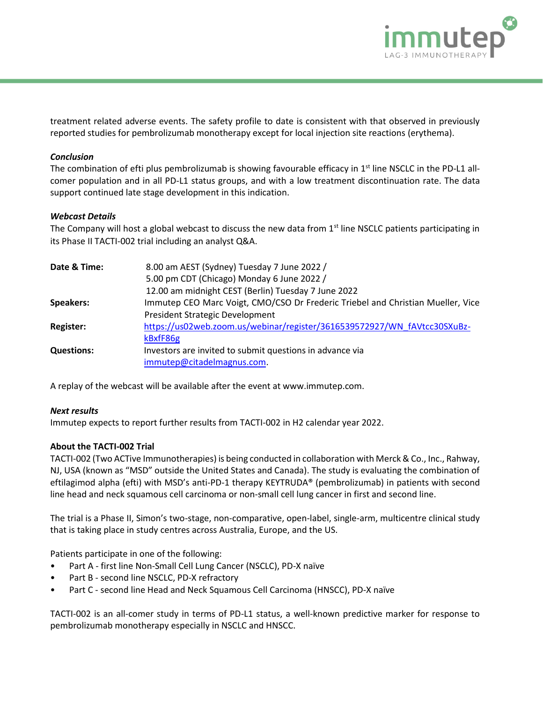

treatment related adverse events. The safety profile to date is consistent with that observed in previously reported studies for pembrolizumab monotherapy except for local injection site reactions (erythema).

## *Conclusion*

The combination of efti plus pembrolizumab is showing favourable efficacy in 1<sup>st</sup> line NSCLC in the PD-L1 allcomer population and in all PD-L1 status groups, and with a low treatment discontinuation rate. The data support continued late stage development in this indication.

#### *Webcast Details*

The Company will host a global webcast to discuss the new data from  $1<sup>st</sup>$  line NSCLC patients participating in its Phase II TACTI-002 trial including an analyst Q&A.

| Date & Time:      | 8.00 am AEST (Sydney) Tuesday 7 June 2022 /                                     |
|-------------------|---------------------------------------------------------------------------------|
|                   | 5.00 pm CDT (Chicago) Monday 6 June 2022 /                                      |
|                   | 12.00 am midnight CEST (Berlin) Tuesday 7 June 2022                             |
| <b>Speakers:</b>  | Immutep CEO Marc Voigt, CMO/CSO Dr Frederic Triebel and Christian Mueller, Vice |
|                   | President Strategic Development                                                 |
| <b>Register:</b>  | https://us02web.zoom.us/webinar/register/3616539572927/WN fAVtcc30SXuBz-        |
|                   | kBxfF86g                                                                        |
| <b>Questions:</b> | Investors are invited to submit questions in advance via                        |
|                   | immutep@citadelmagnus.com.                                                      |
|                   |                                                                                 |

A replay of the webcast will be available after the event at www.immutep.com.

#### *Next results*

Immutep expects to report further results from TACTI-002 in H2 calendar year 2022.

#### **About the TACTI-002 Trial**

TACTI-002 (Two ACTive Immunotherapies) is being conducted in collaboration with Merck & Co., Inc., Rahway, NJ, USA (known as "MSD" outside the United States and Canada). The study is evaluating the combination of eftilagimod alpha (efti) with MSD's anti-PD-1 therapy KEYTRUDA® (pembrolizumab) in patients with second line head and neck squamous cell carcinoma or non-small cell lung cancer in first and second line.

The trial is a Phase II, Simon's two-stage, non-comparative, open-label, single-arm, multicentre clinical study that is taking place in study centres across Australia, Europe, and the US.

Patients participate in one of the following:

- Part A first line Non-Small Cell Lung Cancer (NSCLC), PD-X naïve
- Part B second line NSCLC, PD-X refractory
- Part C second line Head and Neck Squamous Cell Carcinoma (HNSCC), PD-X naïve

TACTI-002 is an all-comer study in terms of PD-L1 status, a well-known predictive marker for response to pembrolizumab monotherapy especially in NSCLC and HNSCC.